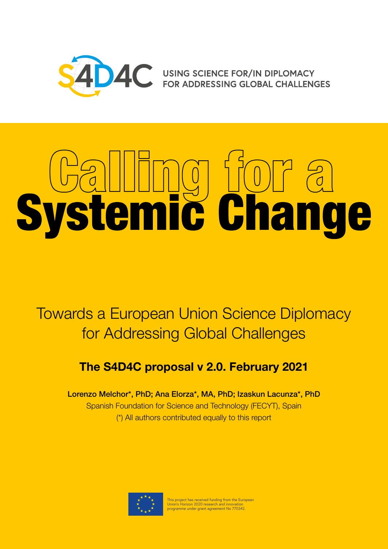

AC USING SCIENCE FOR/IN DIPLOMACY<br>FOR ADDRESSING GLOBAL CHALLENGES

# Systemic Change

Towards a European Union Science Diplomacy for Addressing Global Challenges

# **The S4D4C proposal v 2.0. February 2021**

Lorenzo Melchor\*, PhD; Ana Elorza\*, MA, PhD; Izaskun Lacunza\*, PhD Spanish Foundation for Science and Technology (FECYT), Spain (\*) All authors contributed equally to this report



This project has received funding from the European Union's Horizon 2020 research and innovation programme under grant agreement No 770342.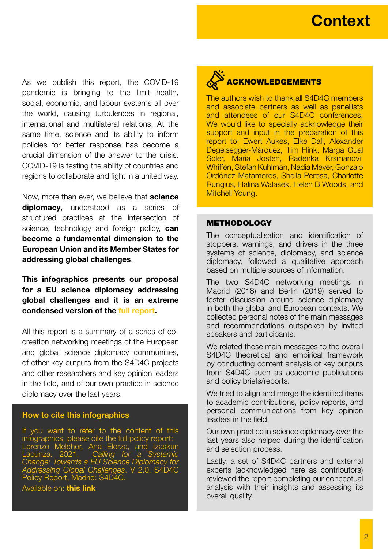As we publish this report, the COVID-19 pandemic is bringing to the limit health, social, economic, and labour systems all over the world, causing turbulences in regional, international and multilateral relations. At the same time, science and its ability to inform policies for better response has become a crucial dimension of the answer to the crisis. COVID-19 is testing the ability of countries and regions to collaborate and fight in a united way.

Now, more than ever, we believe that **science diplomacy**, understood as a series of structured practices at the intersection of science, technology and foreign policy, **can become a fundamental dimension to the European Union and its Member States for addressing global challenges**.

**This infographics presents our proposal for a EU science diplomacy addressing global challenges and it is an extreme condensed version of the [full report.](https://www.s4d4c.eu/wp-content/uploads/2021/02/S4D4C-Calling-for-a-Systemic-Change-Policy-Report-v2.0.pdf)**

All this report is a summary of a series of cocreation networking meetings of the European and global science diplomacy communities, of other key outputs from the S4D4C projects and other researchers and key opinion leaders in the field, and of our own practice in science diplomacy over the last years.

### **How to cite this infographics**

If you want to refer to the content of this infographics, please cite the full policy report: Lorenzo Melchor, Ana Elorza, and Izaskun Lacunza. 2021. *Calling for a Systemic Change: Towards a EU Science Diplomacy for Addressing Global Challenges*. V 2.0. S4D4C Policy Report, Madrid: S4D4C.

[Available on:](https://www.s4d4c.eu/wp-content/uploads/2020/05/S4D4C-Calling-for-a-Systemic-Change-Policy-Report-v1.0.pdf) **[this link](https://www.s4d4c.eu/new-version-calling-for-a-systemic-change-towards-a-eu-science-diplomacy-for-addressing-global-challenges)**

# ACKNOWLEDGEMENTS

The authors wish to thank all S4D4C members and associate partners as well as panellists and attendees of our S4D4C conferences. We would like to specially acknowledge their support and input in the preparation of this report to: Ewert Aukes, Elke Dall, Alexander Degelsegger-Márquez, Tim Flink, Marga Gual Soler, Maria Josten, Radenka Krsmanovi Whiffen, Stefan Kuhlman, Nadia Meyer, Gonzalo Ordóñez-Matamoros, Sheila Perosa, Charlotte Rungius, Halina Walasek, Helen B Woods, and Mitchell Young.

### **METHODOLOGY**

The conceptualisation and identification of stoppers, warnings, and drivers in the three systems of science, diplomacy, and science diplomacy, followed a qualitative approach based on multiple sources of information.

The two S4D4C networking meetings in Madrid (2018) and Berlin (2019) served to foster discussion around science diplomacy in both the global and European contexts. We collected personal notes of the main messages and recommendations outspoken by invited speakers and participants.

We related these main messages to the overall S4D4C theoretical and empirical framework by conducting content analysis of key outputs from S4D4C such as academic publications and policy briefs/reports.

We tried to align and merge the identified items to academic contributions, policy reports, and personal communications from key opinion leaders in the field.

Our own practice in science diplomacy over the last years also helped during the identification and selection process.

Lastly, a set of S4D4C partners and external experts (acknowledged here as contributors) reviewed the report completing our conceptual analysis with their insights and assessing its overall quality.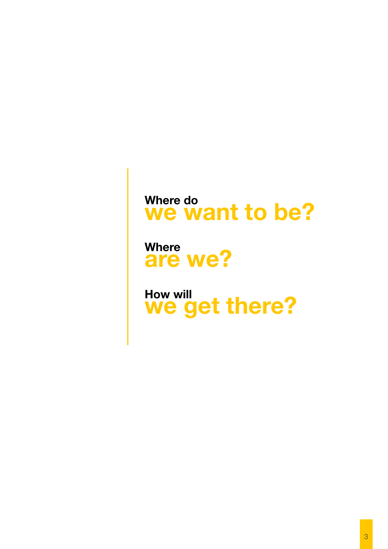# **[Where do](#page-3-0) [we want to be?](#page-3-0)**

**[Where](#page-6-0) [are we?](#page-6-0)** 

**[How will](#page-10-0) [we get there?](#page-10-0)**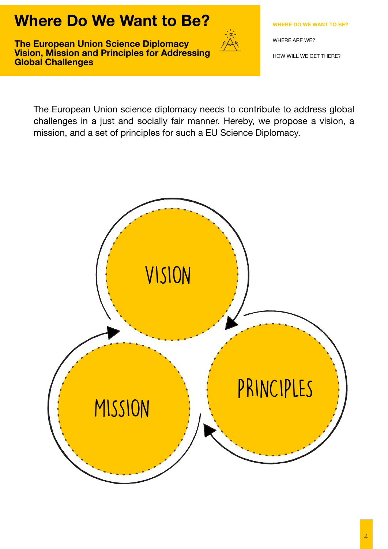# <span id="page-3-0"></span>**Where Do We Want to Be?**

**The European Union Science Diplomacy Vision, Mission and Principles for Addressing Global Challenges**



**WHERE DO WE WANT TO BE?**

[WHERE ARE WE?](#page-6-0)

[HOW WILL WE GET THERE?](#page-10-0)

The European Union science diplomacy needs to contribute to address global challenges in a just and socially fair manner. Hereby, we propose a vision, a mission, and a set of principles for such a EU Science Diplomacy.

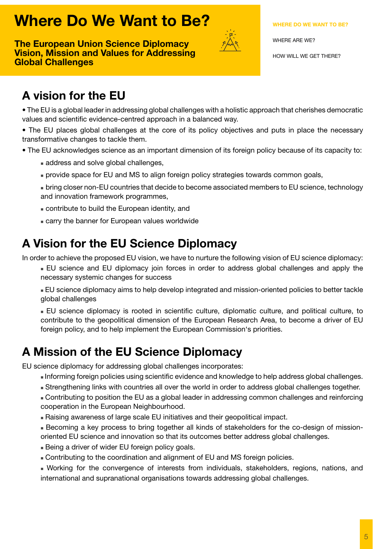# <span id="page-4-0"></span>**Where Do We Want to Be?**

**The European Union Science Diplomacy Vision, Mission and Values for Addressing Global Challenges**



### **[WHERE DO WE WANT TO BE?](#page-3-0)**

[WHERE ARE WE?](#page-6-0)

[HOW WILL WE GET THERE?](#page-10-0)

# **A vision for the EU**

• The EU is a global leader in addressing global challenges with a holistic approach that cherishes democratic values and scientific evidence-centred approach in a balanced way.

• The EU places global challenges at the core of its policy objectives and puts in place the necessary transformative changes to tackle them.

- The EU acknowledges science as an important dimension of its foreign policy because of its capacity to:
	- address and solve global challenges,
	- **n** provide space for EU and MS to align foreign policy strategies towards common goals,
	- <sup>n</sup> bring closer non-EU countries that decide to become associated members to EU science, technology and innovation framework programmes,
	- **Example 1** contribute to build the European identity, and
	- **Example 2** carry the banner for European values worldwide

# **A Vision for the EU Science Diplomacy**

In order to achieve the proposed EU vision, we have to nurture the following vision of EU science diplomacy:

<sup>n</sup> EU science and EU diplomacy join forces in order to address global challenges and apply the necessary systemic changes for success

<sup>n</sup> EU science diplomacy aims to help develop integrated and mission-oriented policies to better tackle global challenges

<sup>n</sup> EU science diplomacy is rooted in scientific culture, diplomatic culture, and political culture, to contribute to the geopolitical dimension of the European Research Area, to become a driver of EU foreign policy, and to help implement the European Commission's priorities.

# **A Mission of the EU Science Diplomacy**

EU science diplomacy for addressing global challenges incorporates:

- **Informing foreign policies using scientific evidence and knowledge to help address global challenges.**
- <sup>n</sup> Strengthening links with countries all over the world in order to address global challenges together.
- <sup>n</sup> Contributing to position the EU as a global leader in addressing common challenges and reinforcing cooperation in the European Neighbourhood.
- <sup>n</sup> Raising awareness of large scale EU initiatives and their geopolitical impact.
- <sup>n</sup> Becoming a key process to bring together all kinds of stakeholders for the co-design of missionoriented EU science and innovation so that its outcomes better address global challenges.
- Being a driver of wider EU foreign policy goals.
- <sup>n</sup> Contributing to the coordination and alignment of EU and MS foreign policies.
- <sup>n</sup> Working for the convergence of interests from individuals, stakeholders, regions, nations, and international and supranational organisations towards addressing global challenges.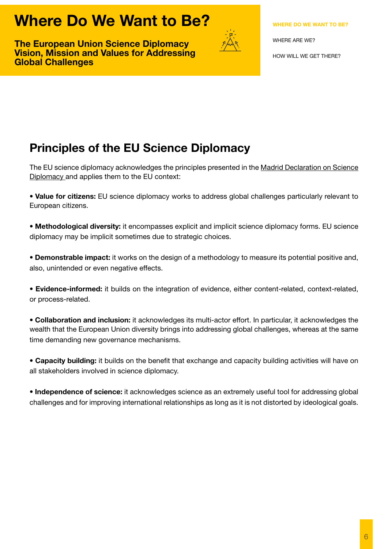# <span id="page-5-0"></span>**Where Do We Want to Be?**

**The European Union Science Diplomacy Vision, Mission and Values for Addressing Global Challenges**



[WHERE ARE WE?](#page-6-0)

[HOW WILL WE GET THERE?](#page-10-0)

# **Principles of the EU Science Diplomacy**

The EU science diplomacy acknowledges the principles presented in the Madrid Declaration on Science [Diplomacy](https://www.s4d4c.eu/s4d4c-1st-global-meeting/the-madrid-declaration-on-science-diplomacy/) and applies them to the EU context:

**• Value for citizens:** EU science diplomacy works to address global challenges particularly relevant to European citizens.

**• Methodological diversity:** it encompasses explicit and implicit science diplomacy forms. EU science diplomacy may be implicit sometimes due to strategic choices.

**• Demonstrable impact:** it works on the design of a methodology to measure its potential positive and, also, unintended or even negative effects.

**• Evidence-informed:** it builds on the integration of evidence, either content-related, context-related, or process-related.

**• Collaboration and inclusion:** it acknowledges its multi-actor effort. In particular, it acknowledges the wealth that the European Union diversity brings into addressing global challenges, whereas at the same time demanding new governance mechanisms.

**• Capacity building:** it builds on the benefit that exchange and capacity building activities will have on all stakeholders involved in science diplomacy.

**• Independence of science:** it acknowledges science as an extremely useful tool for addressing global challenges and for improving international relationships as long as it is not distorted by ideological goals.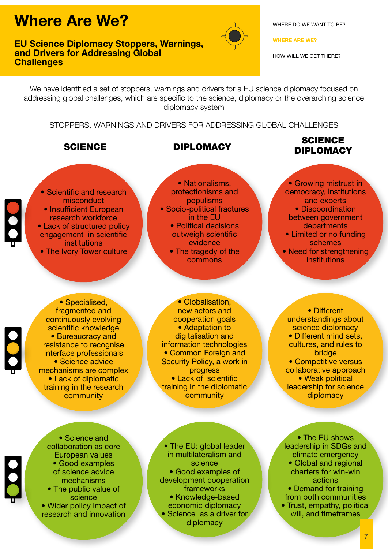### <span id="page-6-0"></span>**EU Science Diplomacy Stoppers, Warnings, and Drivers for Addressing Global Challenges**



[WHERE DO WE WANT TO BE?](#page-3-0)

**WHERE ARE WE?**

[HOW WILL WE GET THERE?](#page-10-0)

We have identified a set of stoppers, warnings and drivers for a EU science diplomacy focused on addressing global challenges, which are specific to the science, diplomacy or the overarching science diplomacy system

STOPPERS, WARNINGS AND DRIVERS FOR ADDRESSING GLOBAL CHALLENGES

# SCIENCE DIPLOMACY SCIENCE DIPLOMACY

- Scientific and research misconduct • Insufficient European research workforce [• Lack of structured policy](#page-7-0)  engagement in scientific institutions
- The Ivory Tower culture

• Nationalisms, protectionisms and populisms • Socio-political fractures in the EU • Political decisions outweigh scientific evidence • The tragedy of the commons

• Growing mistrust in democracy, institutions and experts • Discoordination

- between government departments
- Limited or no funding schemes
- Need for strengthening institutions

• Specialised, fragmented and continuously evolving scientific knowledge • Bureaucracy and resistance to recognise interface professionals • Science advice mechanisms are complex • Lack of diplomatic training in the research community

• Globalisation, new actors and cooperation goals • Adaptation to digitalisation and information technologies • Common Foreign and Security Policy, a work in progress • Lack of scientific training in the diplomatic community

understandings about science diplomacy • Different mind sets, cultures, and rules to bridge • Competitive versus collaborative approach • Weak political leadership for science diplomacy

• Different

• Science and collaboration as core European values • Good examples of science advice mechanisms • The public value of science • Wider policy impact of research and innovation

• The EU: global leader in multilateralism and science • Good examples of [development cooperation](#page-8-0)  frameworks • Knowledge-based economic diplomacy • Science as a driver for diplomacy

• The EU shows leadership in SDGs and climate emergency • Global and regional charters for win-win actions

• Demand for training from both communities

[• Trust, empathy, political](#page-9-0)  will, and timeframes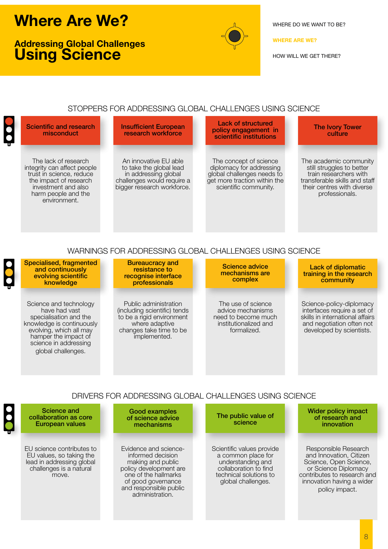# <span id="page-7-0"></span>**Addressing Global Challenges Using Science**



[WHERE DO WE WANT TO BE?](#page-3-0)

### **[WHERE ARE WE?](#page-6-0)**

[HOW WILL WE GET THERE?](#page-10-0)

### STOPPERS FOR ADDRESSING GLOBAL CHALLENGES USING SCIENCE

Scientific and research misconduct

> The lack of research integrity can affect people trust in science, reduce the impact of research investment and also harm people and the environment.

Insufficient European research workforce

An innovative EU able to take the global lead in addressing global challenges would require a bigger research workforce.

Lack of structured policy engagement in scientific institutions

The concept of science diplomacy for addressing global challenges needs to get more traction within the scientific community.

### The Ivory Tower culture

The academic community still struggles to better train researchers with transferable skills and staff their centres with diverse professionals.

### WARNINGS FOR ADDRESSING GLOBAL CHALLENGES USING SCIENCE

Specialised, fragmented and continuously evolving scientific knowledge Bureaucracy and resistance to recognise interface professionals Lack of diplomatic training in the research community Science advice mechanisms are complex Science and technology have had vast specialisation and the knowledge is continuously evolving, which all may hamper the impact of science in addressing global challenges. Public administration (including scientific) tends to be a rigid environment where adaptive changes take time to be implemented. The use of science advice mechanisms need to become much institutionalized and formalized. Science-policy-diplomacy interfaces require a set of skills in international affairs and negotiation often not developed by scientists.

### DRIVERS FOR ADDRESSING GLOBAL CHALLENGES USING SCIENCE

Science and collaboration as core European values Good examples of science advice mechanisms Wider policy impact of research and innovation The public value of science EU science contributes to EU values, so taking the lead in addressing global challenges is a natural move. Evidence and scienceinformed decision making and public policy development are one of the hallmarks of good governance and responsible public administration. Scientific values provide a common place for understanding and collaboration to find technical solutions to global challenges. Responsible Research and Innovation, Citizen Science, Open Science, or Science Diplomacy contributes to research and innovation having a wider policy impact.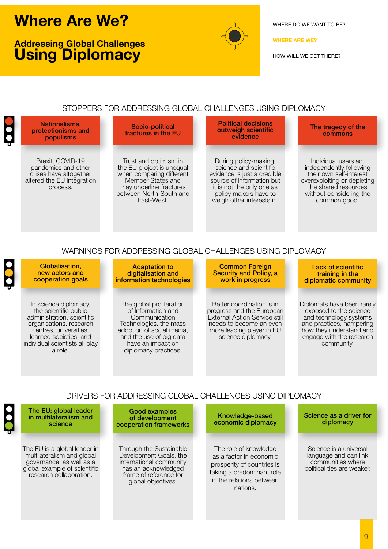# <span id="page-8-0"></span>**Addressing Global Challenges Using Diplomacy**



[WHERE DO WE WANT TO BE?](#page-3-0)

**[WHERE ARE WE?](#page-6-0)**

[HOW WILL WE GET THERE?](#page-10-0)

### STOPPERS FOR ADDRESSING GLOBAL CHALLENGES USING DIPLOMACY



### WARNINGS FOR ADDRESSING GLOBAL CHALLENGES USING DIPLOMACY

| Globalisation,<br>new actors and<br>cooperation goals                                                                                                                                                    | <b>Adaptation to</b><br>digitalisation and<br>information technologies                                                                                                                         | <b>Common Foreign</b><br><b>Security and Policy, a</b><br>work in progress                                                                                            | Lack of scientific<br>training in the<br>diplomatic community                                                                                                                   |
|----------------------------------------------------------------------------------------------------------------------------------------------------------------------------------------------------------|------------------------------------------------------------------------------------------------------------------------------------------------------------------------------------------------|-----------------------------------------------------------------------------------------------------------------------------------------------------------------------|---------------------------------------------------------------------------------------------------------------------------------------------------------------------------------|
| In science diplomacy.<br>the scientific public<br>administration, scientific<br>organisations, research<br>centres, universities,<br>learned societies, and<br>individual scientists all play<br>a role. | The global proliferation<br>of Information and<br>Communication<br>Technologies, the mass<br>adoption of social media,<br>and the use of big data<br>have an impact on<br>diplomacy practices. | Better coordination is in<br>progress and the European<br>External Action Service still<br>needs to become an even<br>more leading player in EU<br>science diplomacy. | Diplomats have been rarely<br>exposed to the science<br>and technology systems<br>and practices, hampering<br>how they understand and<br>engage with the research<br>community. |

### DRIVERS FOR ADDRESSING GLOBAL CHALLENGES USING DIPLOMACY

| $\bullet$ | The EU: global leader<br>in multilateralism and<br>science                                                                                        | Good examples<br>of development<br>cooperation frameworks                                                                                           | Knowledge-based<br>economic diplomacy                                                                                                               | Science as a driver for<br>diplomacy                                                               |
|-----------|---------------------------------------------------------------------------------------------------------------------------------------------------|-----------------------------------------------------------------------------------------------------------------------------------------------------|-----------------------------------------------------------------------------------------------------------------------------------------------------|----------------------------------------------------------------------------------------------------|
|           | The EU is a global leader in<br>multilateralism and global<br>governance, as well as a<br>global example of scientific<br>research collaboration. | Through the Sustainable<br>Development Goals, the<br>international community<br>has an acknowledged<br>frame of reference for<br>global objectives. | The role of knowledge<br>as a factor in economic<br>prosperity of countries is<br>taking a predominant role<br>in the relations between<br>nations. | Science is a universal<br>language and can link<br>communities where<br>political ties are weaker. |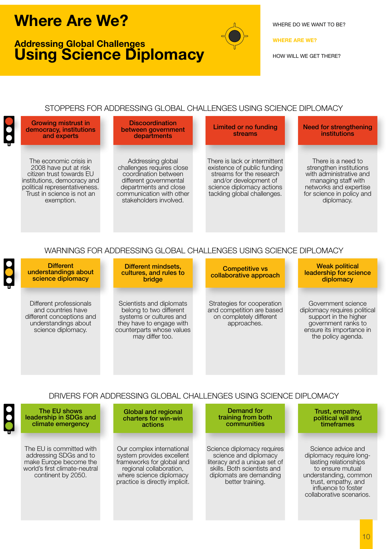# <span id="page-9-0"></span>**Addressing Global Challenges Using Science Diplomacy**



[WHERE DO WE WANT TO BE?](#page-3-0)

### **[WHERE ARE WE?](#page-6-0)**

[HOW WILL WE GET THERE?](#page-10-0)

### STOPPERS FOR ADDRESSING GLOBAL CHALLENGES USING SCIENCE DIPLOMACY



### WARNINGS FOR ADDRESSING GLOBAL CHALLENGES USING SCIENCE DIPLOMACY

| <b>Different</b><br>understandings about<br>science diplomacy                                                            | Different mindsets.<br>cultures, and rules to<br><b>bridge</b>                                                                                             | <b>Competitive vs</b><br>collaborative approach                                                   | <b>Weak political</b><br>leadership for science<br>diplomacy                                                                                         |
|--------------------------------------------------------------------------------------------------------------------------|------------------------------------------------------------------------------------------------------------------------------------------------------------|---------------------------------------------------------------------------------------------------|------------------------------------------------------------------------------------------------------------------------------------------------------|
| Different professionals<br>and countries have<br>different conceptions and<br>understandings about<br>science diplomacy. | Scientists and diplomats<br>belong to two different<br>systems or cultures and<br>they have to engage with<br>counterparts whose values<br>may differ too. | Strategies for cooperation<br>and competition are based<br>on completely different<br>approaches. | Government science<br>diplomacy requires political<br>support in the higher<br>government ranks to<br>ensure its importance in<br>the policy agenda. |

### DRIVERS FOR ADDRESSING GLOBAL CHALLENGES USING SCIENCE DIPLOMACY

| The EU shows<br>leadership in SDGs and<br>climate emergency                                                                         | <b>Global and regional</b><br>charters for win-win<br>actions                                                                                                               | Demand for<br>training from both<br>communities                                                                                                                   | Trust, empathy,<br>political will and<br>timeframes                                                                                                                                           |
|-------------------------------------------------------------------------------------------------------------------------------------|-----------------------------------------------------------------------------------------------------------------------------------------------------------------------------|-------------------------------------------------------------------------------------------------------------------------------------------------------------------|-----------------------------------------------------------------------------------------------------------------------------------------------------------------------------------------------|
| The EU is committed with<br>addressing SDGs and to<br>make Europe become the<br>world's first climate-neutral<br>continent by 2050. | Our complex international<br>system provides excellent<br>frameworks for global and<br>regional collaboration,<br>where science diplomacy<br>practice is directly implicit. | Science diplomacy requires<br>science and diplomacy<br>literacy and a unique set of<br>skills. Both scientists and<br>diplomats are demanding<br>better training. | Science advice and<br>diplomacy require long-<br>lasting relationships<br>to ensure mutual<br>understanding, common<br>trust, empathy, and<br>influence to foster<br>collaborative scenarios. |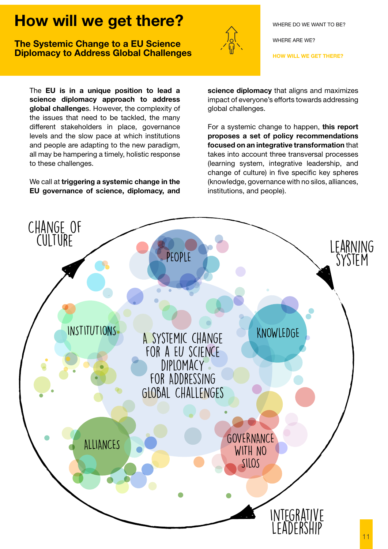# <span id="page-10-0"></span>**The Systemic Change to a EU Science Diplomacy to Address Global Challenges**



[WHERE DO WE WANT TO BE?](#page-3-0)

[WHERE ARE WE?](#page-6-0)

**HOW WILL WE GET THERE?**

The **EU is in a unique position to lead a science diplomacy approach to address global challenge**s. However, the complexity of the issues that need to be tackled, the many different stakeholders in place, governance levels and the slow pace at which institutions and people are adapting to the new paradigm, all may be hampering a timely, holistic response to these challenges.

We call at **triggering a systemic change in the EU governance of science, diplomacy, and**  **science diplomacy** that aligns and maximizes impact of everyone's efforts towards addressing global challenges.

For a systemic change to happen, **this report proposes a set of policy recommendations focused on an integrative transformation** that takes into account three transversal processes (learning system, integrative leadership, and change of culture) in five specific key spheres (knowledge, governance with no silos, alliances, institutions, and people).

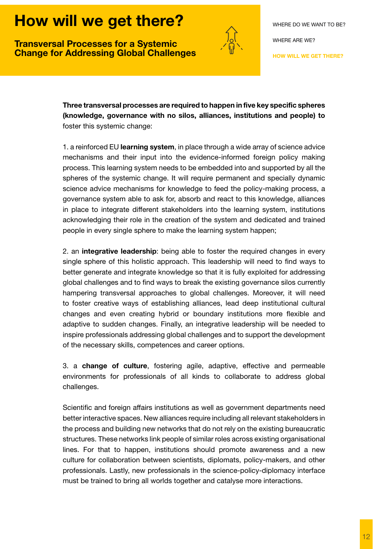<span id="page-11-0"></span>**Transversal Processes for a Systemic Change for Addressing Global Challenges**



**Three transversal processes are required to happen in five key specific spheres (knowledge, governance with no silos, alliances, institutions and people) to** foster this systemic change:

1. a reinforced EU **learning system**, in place through a wide array of science advice mechanisms and their input into the evidence-informed foreign policy making process. This learning system needs to be embedded into and supported by all the spheres of the systemic change. It will require permanent and specially dynamic science advice mechanisms for knowledge to feed the policy-making process, a governance system able to ask for, absorb and react to this knowledge, alliances in place to integrate different stakeholders into the learning system, institutions acknowledging their role in the creation of the system and dedicated and trained people in every single sphere to make the learning system happen;

2. an **integrative leadership**: being able to foster the required changes in every single sphere of this holistic approach. This leadership will need to find ways to better generate and integrate knowledge so that it is fully exploited for addressing global challenges and to find ways to break the existing governance silos currently hampering transversal approaches to global challenges. Moreover, it will need to foster creative ways of establishing alliances, lead deep institutional cultural changes and even creating hybrid or boundary institutions more flexible and adaptive to sudden changes. Finally, an integrative leadership will be needed to inspire professionals addressing global challenges and to support the development of the necessary skills, competences and career options.

3. a **change of culture**, fostering agile, adaptive, effective and permeable environments for professionals of all kinds to collaborate to address global challenges.

Scientific and foreign affairs institutions as well as government departments need better interactive spaces. New alliances require including all relevant stakeholders in the process and building new networks that do not rely on the existing bureaucratic structures. These networks link people of similar roles across existing organisational lines. For that to happen, institutions should promote awareness and a new culture for collaboration between scientists, diplomats, policy-makers, and other professionals. Lastly, new professionals in the science-policy-diplomacy interface must be trained to bring all worlds together and catalyse more interactions.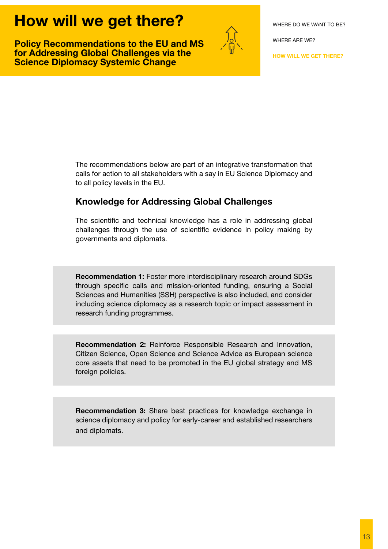<span id="page-12-0"></span>**Policy Recommendations to the EU and MS for Addressing Global Challenges via the Science Diplomacy Systemic Change** 



[WHERE ARE WE?](#page-6-0)

**[HOW WILL WE GET THERE?](#page-10-0)**

The recommendations below are part of an integrative transformation that calls for action to all stakeholders with a say in EU Science Diplomacy and to all policy levels in the EU.

### **Knowledge for Addressing Global Challenges**

The scientific and technical knowledge has a role in addressing global challenges through the use of scientific evidence in policy making by governments and diplomats.

**Recommendation 1:** Foster more interdisciplinary research around SDGs through specific calls and mission-oriented funding, ensuring a Social Sciences and Humanities (SSH) perspective is also included, and consider including science diplomacy as a research topic or impact assessment in research funding programmes.

**Recommendation 2:** Reinforce Responsible Research and Innovation, Citizen Science, Open Science and Science Advice as European science core assets that need to be promoted in the EU global strategy and MS foreign policies.

**Recommendation 3:** Share best practices for knowledge exchange in science diplomacy and policy for early-career and established researchers and diplomats.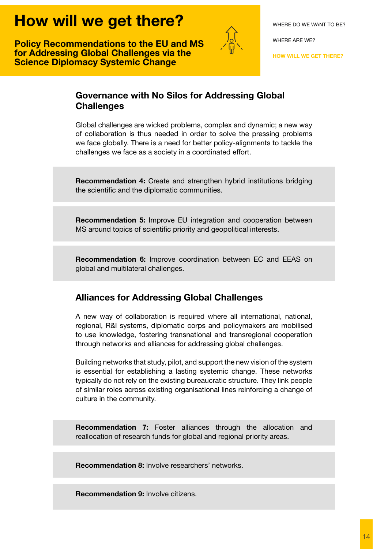<span id="page-13-0"></span>**Policy Recommendations to the EU and MS for Addressing Global Challenges via the Science Diplomacy Systemic Change**



[WHERE ARE WE?](#page-6-0)

**[HOW WILL WE GET THERE?](#page-10-0)**

# **Governance with No Silos for Addressing Global Challenges**

Global challenges are wicked problems, complex and dynamic; a new way of collaboration is thus needed in order to solve the pressing problems we face globally. There is a need for better policy-alignments to tackle the challenges we face as a society in a coordinated effort.

**Recommendation 4:** Create and strengthen hybrid institutions bridging the scientific and the diplomatic communities.

**Recommendation 5:** Improve EU integration and cooperation between MS around topics of scientific priority and geopolitical interests.

**Recommendation 6:** Improve coordination between EC and EEAS on global and multilateral challenges.

# **Alliances for Addressing Global Challenges**

A new way of collaboration is required where all international, national, regional, R&I systems, diplomatic corps and policymakers are mobilised to use knowledge, fostering transnational and transregional cooperation through networks and alliances for addressing global challenges.

Building networks that study, pilot, and support the new vision of the system is essential for establishing a lasting systemic change. These networks typically do not rely on the existing bureaucratic structure. They link people of similar roles across existing organisational lines reinforcing a change of culture in the community.

**Recommendation 7:** Foster alliances through the allocation and reallocation of research funds for global and regional priority areas.

**Recommendation 8:** Involve researchers' networks.

**Recommendation 9:** Involve citizens.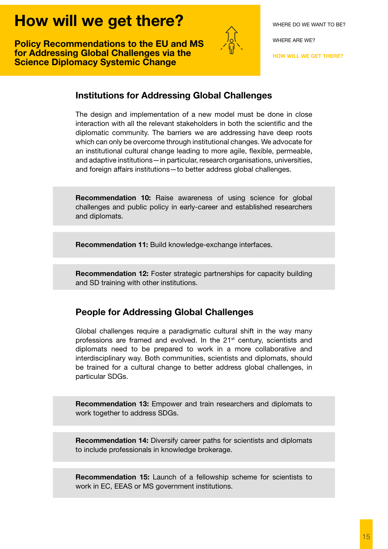<span id="page-14-0"></span>**Policy Recommendations to the EU and MS for Addressing Global Challenges via the Science Diplomacy Systemic Change**



[WHERE ARE WE?](#page-6-0)

**[HOW WILL WE GET THERE?](#page-10-0)**

### **Institutions for Addressing Global Challenges**

The design and implementation of a new model must be done in close interaction with all the relevant stakeholders in both the scientific and the diplomatic community. The barriers we are addressing have deep roots which can only be overcome through institutional changes. We advocate for an institutional cultural change leading to more agile, flexible, permeable, and adaptive institutions—in particular, research organisations, universities, and foreign affairs institutions—to better address global challenges.

**Recommendation 10:** Raise awareness of using science for global challenges and public policy in early-career and established researchers and diplomats.

**Recommendation 11:** Build knowledge-exchange interfaces.

**Recommendation 12:** Foster strategic partnerships for capacity building and SD training with other institutions.

### **People for Addressing Global Challenges**

Global challenges require a paradigmatic cultural shift in the way many professions are framed and evolved. In the  $21<sup>st</sup>$  century, scientists and diplomats need to be prepared to work in a more collaborative and interdisciplinary way. Both communities, scientists and diplomats, should be trained for a cultural change to better address global challenges, in particular SDGs.

**Recommendation 13:** Empower and train researchers and diplomats to work together to address SDGs.

**Recommendation 14:** Diversify career paths for scientists and diplomats to include professionals in knowledge brokerage.

**Recommendation 15:** Launch of a fellowship scheme for scientists to work in EC, EEAS or MS government institutions.